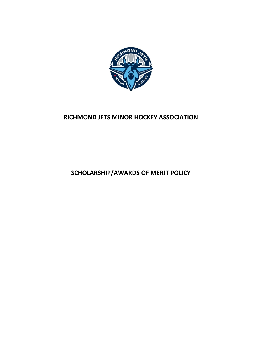

# **RICHMOND JETS MINOR HOCKEY ASSOCIATION**

**SCHOLARSHIP/AWARDS OF MERIT POLICY**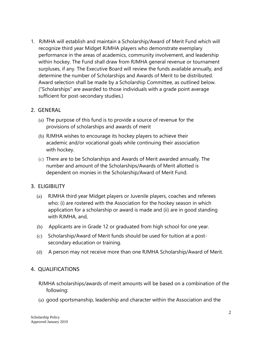1. RJMHA will establish and maintain a Scholarship/Award of Merit Fund which will recognize third year Midget RJMHA players who demonstrate exemplary performance in the areas of academics, community involvement, and leadership within hockey. The Fund shall draw from RJMHA general revenue or tournament surpluses, if any. The Executive Board will review the funds available annually, and determine the number of Scholarships and Awards of Merit to be distributed. Award selection shall be made by a Scholarship Committee, as outlined below. ("Scholarships" are awarded to those individuals with a grade point average sufficient for post-secondary studies.)

### 2. GENERAL

- (a) The purpose of this fund is to provide a source of revenue for the provisions of scholarships and awards of merit
- (b) RJMHA wishes to encourage its hockey players to achieve their academic and/or vocational goals while continuing their association with hockey.
- (c) There are to be Scholarships and Awards of Merit awarded annually. The number and amount of the Scholarships/Awards of Merit allotted is dependent on monies in the Scholarship/Award of Merit Fund.

# 3. ELIGIBILITY

- (a) RJMHA third year Midget players or Juvenile players, coaches and referees who: (i) are rostered with the Association for the hockey season in which application for a scholarship or award is made and (ii) are in good standing with RJMHA, and,
- (b) Applicants are in Grade 12 or graduated from high school for one year.
- (c) Scholarship/Award of Merit funds should be used for tuition at a postsecondary education or training.
- (d) A person may not receive more than one RJMHA Scholarship/Award of Merit.

# 4. QUALIFICATIONS

- RJMHA scholarships/awards of merit amounts will be based on a combination of the following:
- (a) good sportsmanship, leadership and character within the Association and the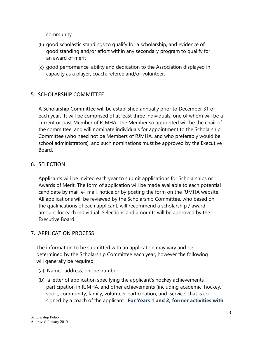community

- (b) good scholastic standings to qualify for a scholarship, and evidence of good standing and/or effort within any secondary program to qualify for an award of merit
- (c) good performance, ability and dedication to the Association displayed in capacity as a player, coach, referee and/or volunteer.

# 5. SCHOLARSHIP COMMITTEE

A Scholarship Committee will be established annually prior to December 31 of each year. It will be comprised of at least three individuals; one of whom will be a current or past Member of RJMHA. The Member so appointed will be the chair of the committee, and will nominate individuals for appointment to the Scholarship Committee (who need not be Members of RJMHA, and who preferably would be school administrators), and such nominations must be approved by the Executive Board.

# 6. SELECTION

Applicants will be invited each year to submit applications for Scholarships or Awards of Merit. The form of application will be made available to each potential candidate by mail, e- mail, notice or by posting the form on the RJMHA website. All applications will be reviewed by the Scholarship Committee, who based on the qualifications of each applicant, will recommend a scholarship / award amount for each individual. Selections and amounts will be approved by the Executive Board.

# 7. APPLICATION PROCESS

The information to be submitted with an application may vary and be determined by the Scholarship Committee each year, however the following will generally be required:

- (a) Name, address, phone number
- (b) a letter of application specifying the applicant's hockey achievements, participation in RJMHA, and other achievements (including academic, hockey, sport, community, family, volunteer participation, and service) that is cosigned by a coach of the applicant. **For Years 1 and 2, former activities with**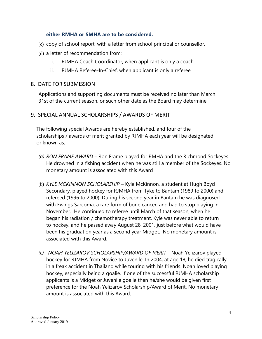### **either RMHA or SMHA are to be considered.**

- (c) copy of school report, with a letter from school principal or counsellor.
- (d) a letter of recommendation from:
	- i. RJMHA Coach Coordinator, when applicant is only a coach
	- ii. RJMHA Referee-In-Chief, when applicant is only a referee

#### 8. DATE FOR SUBMISSION

Applications and supporting documents must be received no later than March 31st of the current season, or such other date as the Board may determine.

### 9. SPECIAL ANNUAL SCHOLARSHIPS / AWARDS OF MERIT

The following special Awards are hereby established, and four of the scholarships / awards of merit granted by RJMHA each year will be designated or known as:

- *(a) RON FRAME AWARD*  Ron Frame played for RMHA and the Richmond Sockeyes. He drowned in a fishing accident when he was still a member of the Sockeyes. No monetary amount is associated with this Award
- (b) *KYLE MCKINNON SCHOLARSHIP*  Kyle McKinnon, a student at Hugh Boyd Secondary, played hockey for RJMHA from Tyke to Bantam (1989 to 2000) and refereed (1996 to 2000). During his second year in Bantam he was diagnosed with Ewings Sarcoma, a rare form of bone cancer, and had to stop playing in November. He continued to referee until March of that season, when he began his radiation / chemotherapy treatment. Kyle was never able to return to hockey, and he passed away August 28, 2001, just before what would have been his graduation year as a second year Midget. No monetary amount is associated with this Award.
- *(c) NOAH YELIZAROV SCHOLARSHIP/AWARD OF MERIT*  Noah Yelizarov played hockey for RJMHA from Novice to Juvenile. In 2004, at age 18, he died tragically in a freak accident in Thailand while touring with his friends. Noah loved playing hockey, especially being a goalie. If one of the successful RJMHA scholarship applicants is a Midget or Juvenile goalie then he/she would be given first preference for the Noah Yelizarov Scholarship/Award of Merit. No monetary amount is associated with this Award.